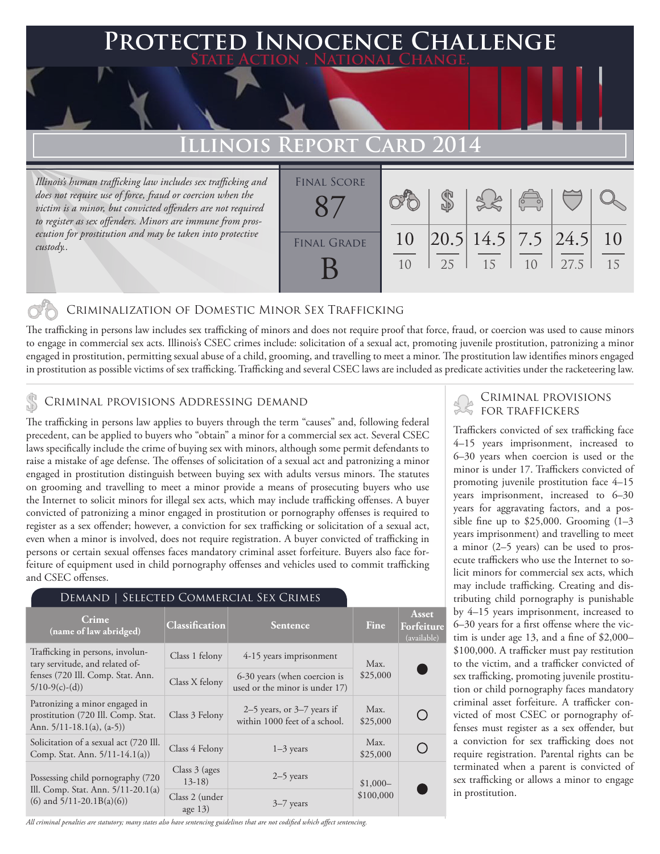## **Protected Innocence Challenge State Action . National Change.**

# **Illinois Report Card 2014**

*Illinois's human trafficking law includes sex trafficking and does not require use of force, fraud or coercion when the victim is a minor, but convicted offenders are not required to register as sex offenders. Minors are immune from prosecution for prostitution and may be taken into protective custody..*

| <b>FINAL SCORE</b> |          | $\mathbb{Z}$ |                                                          | 380 |      |          |
|--------------------|----------|--------------|----------------------------------------------------------|-----|------|----------|
| <b>FINAL GRADE</b> | 10<br>10 | 2.5          | $\left  20.5 \right  14.5 \left  7.5 \right  24.5$<br>15 | 10  | 27.5 | 10<br>15 |

### Criminalization of Domestic Minor Sex Trafficking

The trafficking in persons law includes sex trafficking of minors and does not require proof that force, fraud, or coercion was used to cause minors to engage in commercial sex acts. Illinois's CSEC crimes include: solicitation of a sexual act, promoting juvenile prostitution, patronizing a minor engaged in prostitution, permitting sexual abuse of a child, grooming, and travelling to meet a minor. The prostitution law identifies minors engaged in prostitution as possible victims of sex trafficking. Trafficking and several CSEC laws are included as predicate activities under the racketeering law.

## CRIMINAL PROVISIONS ADDRESSING DEMAND SAND CRIMINAL PROVISIONS

The trafficking in persons law applies to buyers through the term "causes" and, following federal precedent, can be applied to buyers who "obtain" a minor for a commercial sex act. Several CSEC laws specifically include the crime of buying sex with minors, although some permit defendants to raise a mistake of age defense. The offenses of solicitation of a sexual act and patronizing a minor engaged in prostitution distinguish between buying sex with adults versus minors. The statutes on grooming and travelling to meet a minor provide a means of prosecuting buyers who use the Internet to solicit minors for illegal sex acts, which may include trafficking offenses. A buyer convicted of patronizing a minor engaged in prostitution or pornography offenses is required to register as a sex offender; however, a conviction for sex trafficking or solicitation of a sexual act, even when a minor is involved, does not require registration. A buyer convicted of trafficking in persons or certain sexual offenses faces mandatory criminal asset forfeiture. Buyers also face forfeiture of equipment used in child pornography offenses and vehicles used to commit trafficking and CSEC offenses.

| DEMAND   SELECTED COMMERCIAL SEX CRIMES                                                                                      |                             |                                                                 |                  |                                    |  |  |  |
|------------------------------------------------------------------------------------------------------------------------------|-----------------------------|-----------------------------------------------------------------|------------------|------------------------------------|--|--|--|
| Crime<br>(name of law abridged)                                                                                              | Classification              | <b>Sentence</b>                                                 | Fine             | Asset<br>Forfeiture<br>(available) |  |  |  |
| Trafficking in persons, involun-<br>tary servitude, and related of-<br>fenses (720 Ill. Comp. Stat. Ann.<br>$5/10-9(c)-(d))$ | Class 1 felony              | 4-15 years imprisonment                                         | Max.             |                                    |  |  |  |
|                                                                                                                              | Class X felony              | 6-30 years (when coercion is<br>used or the minor is under 17)  | \$25,000         |                                    |  |  |  |
| Patronizing a minor engaged in<br>prostitution (720 Ill. Comp. Stat.<br>Ann. $5/11-18.1(a)$ , $(a-5)$ )                      | Class 3 Felony              | $2-5$ years, or $3-7$ years if<br>within 1000 feet of a school. | Max.<br>\$25,000 |                                    |  |  |  |
| Solicitation of a sexual act (720 Ill.<br>Comp. Stat. Ann. 5/11-14.1(a))                                                     | Class 4 Felony              | $1-3$ years                                                     | Max.<br>\$25,000 |                                    |  |  |  |
| Possessing child pornography (720)<br>Ill. Comp. Stat. Ann. $5/11-20.1(a)$<br>$(6)$ and $5/11-20.1B(a)(6)$                   | Class $3$ (ages)<br>$13-18$ | $2-5$ years                                                     | $$1,000-$        |                                    |  |  |  |
|                                                                                                                              | Class 2 (under<br>age $13)$ | $3-7$ years                                                     | \$100,000        |                                    |  |  |  |

*All criminal penalties are statutory; many states also have sentencing guidelines that are not codified which affect sentencing.* 

Traffickers convicted of sex trafficking face 4–15 years imprisonment, increased to 6–30 years when coercion is used or the minor is under 17. Traffickers convicted of promoting juvenile prostitution face 4–15 years imprisonment, increased to 6–30 years for aggravating factors, and a possible fine up to  $$25,000$ . Grooming  $(1-3)$ years imprisonment) and travelling to meet a minor (2–5 years) can be used to prosecute traffickers who use the Internet to solicit minors for commercial sex acts, which may include trafficking. Creating and distributing child pornography is punishable by 4–15 years imprisonment, increased to 6–30 years for a first offense where the victim is under age 13, and a fine of \$2,000– \$100,000. A trafficker must pay restitution to the victim, and a trafficker convicted of sex trafficking, promoting juvenile prostitution or child pornography faces mandatory criminal asset forfeiture. A trafficker convicted of most CSEC or pornography offenses must register as a sex offender, but a conviction for sex trafficking does not require registration. Parental rights can be terminated when a parent is convicted of sex trafficking or allows a minor to engage in prostitution.